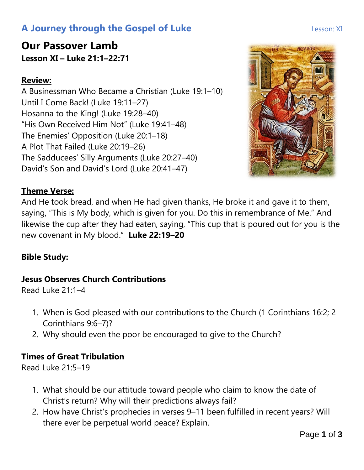# **A Journey through the Gospel of Luke Lesson: XI** Lesson: XI

# **Our Passover Lamb Lesson XI – Luke 21:1–22:71**

## **Review:**

A Businessman Who Became a Christian (Luke 19:1–10) Until I Come Back! (Luke 19:11–27) Hosanna to the King! (Luke 19:28–40) "His Own Received Him Not" (Luke 19:41–48) The Enemies' Opposition (Luke 20:1–18) A Plot That Failed (Luke 20:19–26) The Sadducees' Silly Arguments (Luke 20:27–40) David's Son and David's Lord (Luke 20:41–47)

#### **Theme Verse:**

And He took bread, and when He had given thanks, He broke it and gave it to them, saying, "This is My body, which is given for you. Do this in remembrance of Me." And likewise the cup after they had eaten, saying, "This cup that is poured out for you is the new covenant in My blood." **Luke 22:19–20**

### **Bible Study:**

#### **Jesus Observes Church Contributions**

Read Luke 21:1–4

- 1. When is God pleased with our contributions to the Church (1 Corinthians 16:2; 2 Corinthians 9:6–7)?
- 2. Why should even the poor be encouraged to give to the Church?

### **Times of Great Tribulation**

Read Luke 21:5–19

- 1. What should be our attitude toward people who claim to know the date of Christ's return? Why will their predictions always fail?
- 2. How have Christ's prophecies in verses 9–11 been fulfilled in recent years? Will there ever be perpetual world peace? Explain.

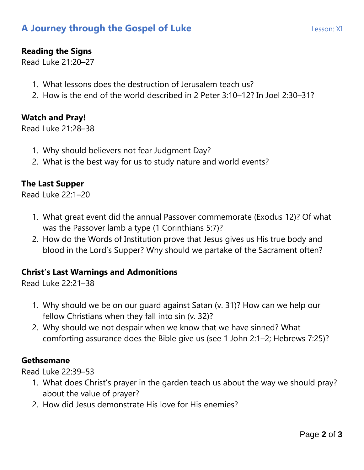# **A Journey through the Gospel of Luke Lesson: XI** Lesson: XI

## **Reading the Signs**

Read Luke 21:20–27

- 1. What lessons does the destruction of Jerusalem teach us?
- 2. How is the end of the world described in 2 Peter 3:10–12? In Joel 2:30–31?

### **Watch and Pray!**

Read Luke 21:28–38

- 1. Why should believers not fear Judgment Day?
- 2. What is the best way for us to study nature and world events?

## **The Last Supper**

Read Luke 22:1–20

- 1. What great event did the annual Passover commemorate (Exodus 12)? Of what was the Passover lamb a type (1 Corinthians 5:7)?
- 2. How do the Words of Institution prove that Jesus gives us His true body and blood in the Lord's Supper? Why should we partake of the Sacrament often?

### **Christ's Last Warnings and Admonitions**

Read Luke 22:21–38

- 1. Why should we be on our guard against Satan (v. 31)? How can we help our fellow Christians when they fall into sin (v. 32)?
- 2. Why should we not despair when we know that we have sinned? What comforting assurance does the Bible give us (see 1 John 2:1–2; Hebrews 7:25)?

### **Gethsemane**

Read Luke 22:39–53

- 1. What does Christ's prayer in the garden teach us about the way we should pray? about the value of prayer?
- 2. How did Jesus demonstrate His love for His enemies?